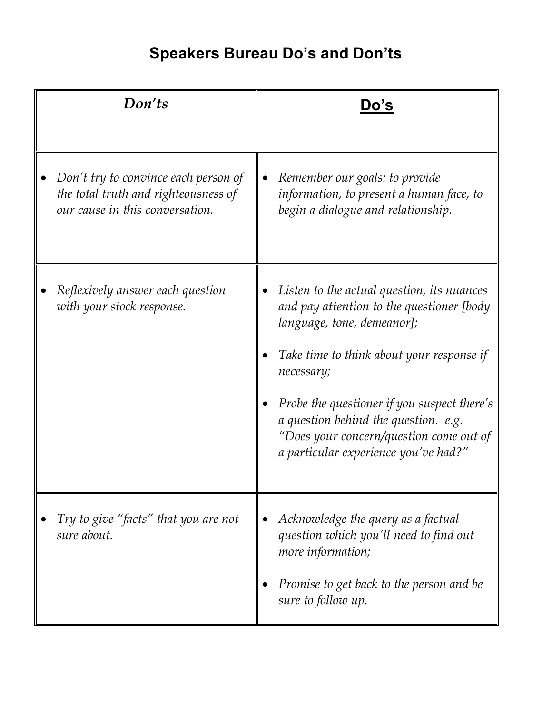## **Speakers Bureau Do's and Don'ts**

| Don'ts                                                                                                          | Do's                                                                                                                                                                                                                                                                                                                                                       |
|-----------------------------------------------------------------------------------------------------------------|------------------------------------------------------------------------------------------------------------------------------------------------------------------------------------------------------------------------------------------------------------------------------------------------------------------------------------------------------------|
| Don't try to convince each person of<br>the total truth and righteousness of<br>our cause in this conversation. | Remember our goals: to provide<br>information, to present a human face, to<br>begin a dialogue and relationship.                                                                                                                                                                                                                                           |
| Reflexively answer each question<br>with your stock response.                                                   | Listen to the actual question, its nuances<br>and pay attention to the questioner [body<br>language, tone, demeanor];<br>Take time to think about your response if<br>necessary;<br>Probe the questioner if you suspect there's<br>a question behind the question. e.g.<br>"Does your concern/question come out of<br>a particular experience you've had?" |
| Try to give "facts" that you are not<br>sure about.                                                             | Acknowledge the query as a factual<br>question which you'll need to find out<br>more information;<br>Promise to get back to the person and be<br>sure to follow up.                                                                                                                                                                                        |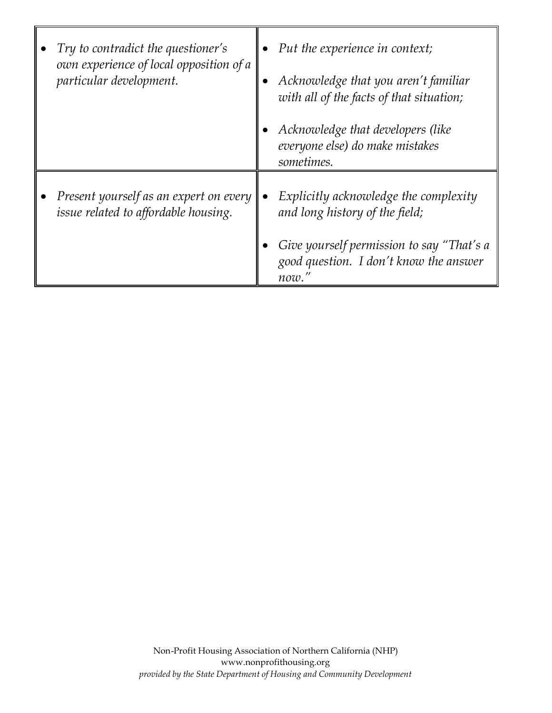| Try to contradict the questioner's<br>own experience of local opposition of a<br>particular development. | Put the experience in context;<br>Acknowledge that you aren't familiar<br>with all of the facts of that situation; |
|----------------------------------------------------------------------------------------------------------|--------------------------------------------------------------------------------------------------------------------|
|                                                                                                          | Acknowledge that developers (like<br>everyone else) do make mistakes<br>sometimes.                                 |
| Present yourself as an expert on every<br>issue related to affordable housing.                           | Explicitly acknowledge the complexity<br>and long history of the field;                                            |
|                                                                                                          | Give yourself permission to say "That's a<br>good question. I don't know the answer<br>now.'                       |

٦Г

 $\blacksquare$